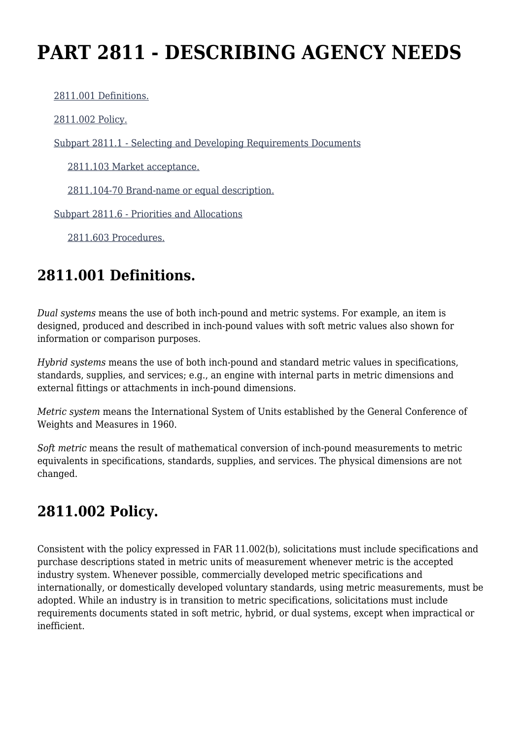# **PART 2811 - DESCRIBING AGENCY NEEDS**

[2811.001 Definitions.](https://login.acquisition.gov/%5Brp:link:jar-part-2811%5D#Section_2811_001_T48_60116111011)

[2811.002 Policy.](https://login.acquisition.gov/%5Brp:link:jar-part-2811%5D#Section_2811_002_T48_60116111012)

[Subpart 2811.1 - Selecting and Developing Requirements Documents](https://login.acquisition.gov/%5Brp:link:jar-part-2811%5D#Subpart_2811_1_T48_601161111)

[2811.103 Market acceptance.](https://login.acquisition.gov/%5Brp:link:jar-part-2811%5D#Section_2811_103_T48_60116111111)

[2811.104-70 Brand-name or equal description.](https://login.acquisition.gov/%5Brp:link:jar-part-2811%5D#Section_2811_104_70_T48_60116111112)

[Subpart 2811.6 - Priorities and Allocations](https://login.acquisition.gov/%5Brp:link:jar-part-2811%5D#Subpart_2811_6_T48_601161112)

[2811.603 Procedures.](https://login.acquisition.gov/%5Brp:link:jar-part-2811%5D#Section_2811_603_T48_60116111211)

## **2811.001 Definitions.**

*Dual systems* means the use of both inch-pound and metric systems. For example, an item is designed, produced and described in inch-pound values with soft metric values also shown for information or comparison purposes.

*Hybrid systems* means the use of both inch-pound and standard metric values in specifications, standards, supplies, and services; e.g., an engine with internal parts in metric dimensions and external fittings or attachments in inch-pound dimensions.

*Metric system* means the International System of Units established by the General Conference of Weights and Measures in 1960.

*Soft metric* means the result of mathematical conversion of inch-pound measurements to metric equivalents in specifications, standards, supplies, and services. The physical dimensions are not changed.

# **2811.002 Policy.**

Consistent with the policy expressed in FAR 11.002(b), solicitations must include specifications and purchase descriptions stated in metric units of measurement whenever metric is the accepted industry system. Whenever possible, commercially developed metric specifications and internationally, or domestically developed voluntary standards, using metric measurements, must be adopted. While an industry is in transition to metric specifications, solicitations must include requirements documents stated in soft metric, hybrid, or dual systems, except when impractical or inefficient.